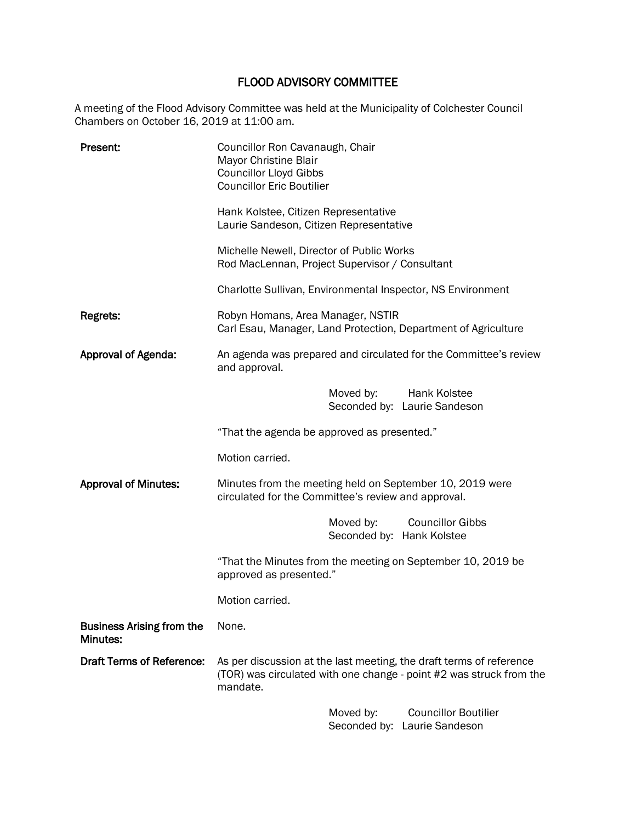# FLOOD ADVISORY COMMITTEE

A meeting of the Flood Advisory Committee was held at the Municipality of Colchester Council Chambers on October 16, 2019 at 11:00 am.

| Present:                                     | Councillor Ron Cavanaugh, Chair<br>Mayor Christine Blair<br><b>Councillor Lloyd Gibbs</b><br><b>Councillor Eric Boutilier</b> |                                        |                                                                                                                                            |
|----------------------------------------------|-------------------------------------------------------------------------------------------------------------------------------|----------------------------------------|--------------------------------------------------------------------------------------------------------------------------------------------|
|                                              | Hank Kolstee, Citizen Representative<br>Laurie Sandeson, Citizen Representative                                               |                                        |                                                                                                                                            |
|                                              | Michelle Newell, Director of Public Works<br>Rod MacLennan, Project Supervisor / Consultant                                   |                                        |                                                                                                                                            |
|                                              | Charlotte Sullivan, Environmental Inspector, NS Environment                                                                   |                                        |                                                                                                                                            |
| Regrets:                                     | Robyn Homans, Area Manager, NSTIR                                                                                             |                                        | Carl Esau, Manager, Land Protection, Department of Agriculture                                                                             |
| Approval of Agenda:                          | and approval.                                                                                                                 |                                        | An agenda was prepared and circulated for the Committee's review                                                                           |
|                                              |                                                                                                                               | Moved by:                              | Hank Kolstee<br>Seconded by: Laurie Sandeson                                                                                               |
|                                              | "That the agenda be approved as presented."                                                                                   |                                        |                                                                                                                                            |
|                                              | Motion carried.                                                                                                               |                                        |                                                                                                                                            |
| <b>Approval of Minutes:</b>                  | Minutes from the meeting held on September 10, 2019 were<br>circulated for the Committee's review and approval.               |                                        |                                                                                                                                            |
|                                              |                                                                                                                               | Moved by:<br>Seconded by: Hank Kolstee | <b>Councillor Gibbs</b>                                                                                                                    |
|                                              | "That the Minutes from the meeting on September 10, 2019 be<br>approved as presented."                                        |                                        |                                                                                                                                            |
|                                              | Motion carried.                                                                                                               |                                        |                                                                                                                                            |
| <b>Business Arising from the</b><br>Minutes: | None.                                                                                                                         |                                        |                                                                                                                                            |
| <b>Draft Terms of Reference:</b>             | mandate.                                                                                                                      |                                        | As per discussion at the last meeting, the draft terms of reference<br>(TOR) was circulated with one change - point #2 was struck from the |
|                                              |                                                                                                                               | Moved by:                              | <b>Councillor Boutilier</b>                                                                                                                |

Seconded by: Laurie Sandeson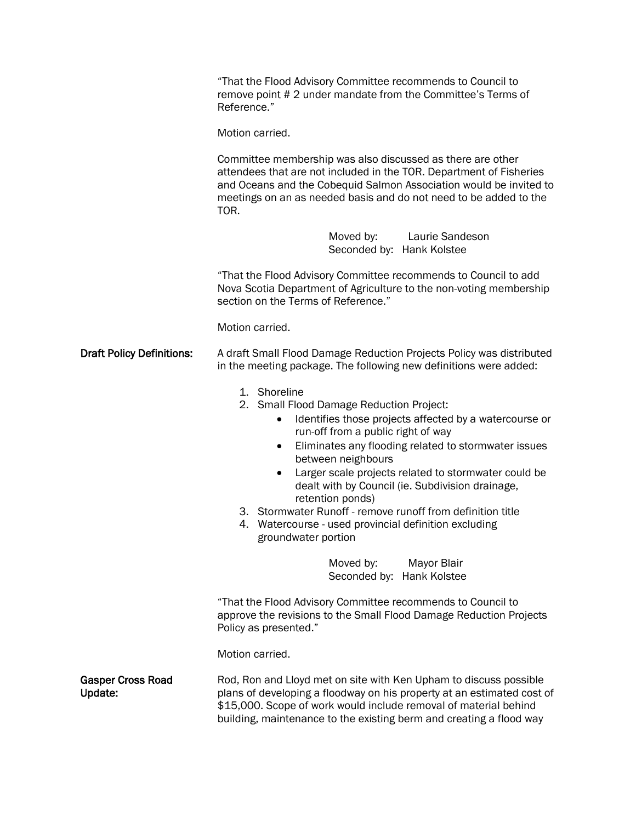|                                     | "That the Flood Advisory Committee recommends to Council to<br>remove point #2 under mandate from the Committee's Terms of<br>Reference."                                                                                                                                                                                                                                                                                                                                                                                                              |  |  |
|-------------------------------------|--------------------------------------------------------------------------------------------------------------------------------------------------------------------------------------------------------------------------------------------------------------------------------------------------------------------------------------------------------------------------------------------------------------------------------------------------------------------------------------------------------------------------------------------------------|--|--|
|                                     | Motion carried.<br>Committee membership was also discussed as there are other<br>attendees that are not included in the TOR. Department of Fisheries<br>and Oceans and the Cobequid Salmon Association would be invited to<br>meetings on an as needed basis and do not need to be added to the<br>TOR.                                                                                                                                                                                                                                                |  |  |
|                                     |                                                                                                                                                                                                                                                                                                                                                                                                                                                                                                                                                        |  |  |
|                                     | Moved by:<br>Laurie Sandeson<br>Seconded by: Hank Kolstee                                                                                                                                                                                                                                                                                                                                                                                                                                                                                              |  |  |
|                                     | "That the Flood Advisory Committee recommends to Council to add<br>Nova Scotia Department of Agriculture to the non-voting membership<br>section on the Terms of Reference."                                                                                                                                                                                                                                                                                                                                                                           |  |  |
|                                     | Motion carried.                                                                                                                                                                                                                                                                                                                                                                                                                                                                                                                                        |  |  |
| <b>Draft Policy Definitions:</b>    | A draft Small Flood Damage Reduction Projects Policy was distributed<br>in the meeting package. The following new definitions were added:                                                                                                                                                                                                                                                                                                                                                                                                              |  |  |
|                                     | 1. Shoreline<br>2. Small Flood Damage Reduction Project:<br>Identifies those projects affected by a watercourse or<br>$\bullet$<br>run-off from a public right of way<br>Eliminates any flooding related to stormwater issues<br>٠<br>between neighbours<br>Larger scale projects related to stormwater could be<br>$\bullet$<br>dealt with by Council (ie. Subdivision drainage,<br>retention ponds)<br>3. Stormwater Runoff - remove runoff from definition title<br>Watercourse - used provincial definition excluding<br>4.<br>groundwater portion |  |  |
|                                     | Moved by:<br><b>Mayor Blair</b><br>Seconded by: Hank Kolstee                                                                                                                                                                                                                                                                                                                                                                                                                                                                                           |  |  |
|                                     | "That the Flood Advisory Committee recommends to Council to<br>approve the revisions to the Small Flood Damage Reduction Projects<br>Policy as presented."                                                                                                                                                                                                                                                                                                                                                                                             |  |  |
|                                     | Motion carried.                                                                                                                                                                                                                                                                                                                                                                                                                                                                                                                                        |  |  |
| <b>Gasper Cross Road</b><br>Update: | Rod, Ron and Lloyd met on site with Ken Upham to discuss possible<br>plans of developing a floodway on his property at an estimated cost of<br>\$15,000. Scope of work would include removal of material behind<br>building, maintenance to the existing berm and creating a flood way                                                                                                                                                                                                                                                                 |  |  |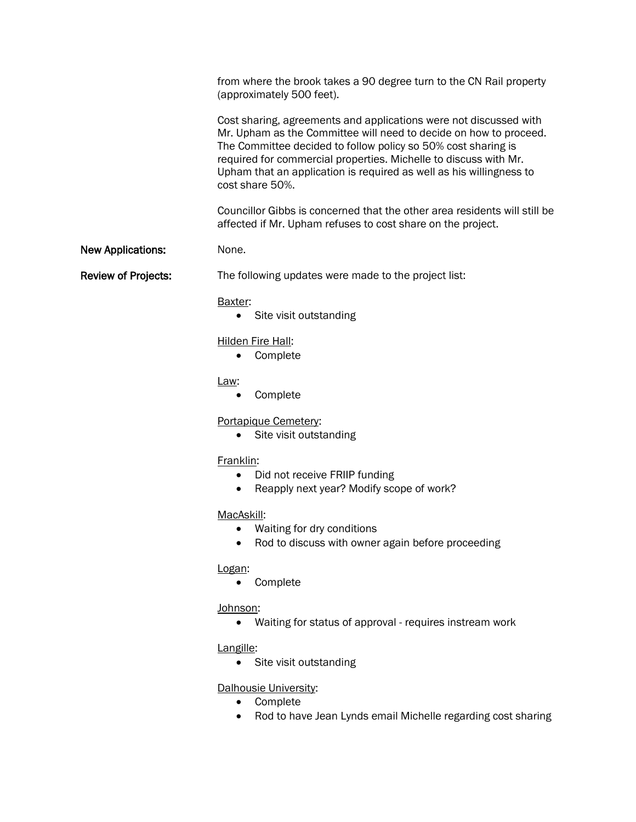from where the brook takes a 90 degree turn to the CN Rail property (approximately 500 feet).

Cost sharing, agreements and applications were not discussed with Mr. Upham as the Committee will need to decide on how to proceed. The Committee decided to follow policy so 50% cost sharing is required for commercial properties. Michelle to discuss with Mr. Upham that an application is required as well as his willingness to cost share 50%.

Councillor Gibbs is concerned that the other area residents will still be affected if Mr. Upham refuses to cost share on the project.

#### New Applications: None.

Review of Projects: The following updates were made to the project list:

#### Baxter:

• Site visit outstanding

#### Hilden Fire Hall:

• Complete

#### Law:

• Complete

# Portapique Cemetery:

• Site visit outstanding

# Franklin:

- Did not receive FRIIP funding
- Reapply next year? Modify scope of work?

# MacAskill:

- Waiting for dry conditions
- Rod to discuss with owner again before proceeding

# Logan:

• Complete

# Johnson:

• Waiting for status of approval - requires instream work

# Langille:

• Site visit outstanding

# Dalhousie University:

- Complete
- Rod to have Jean Lynds email Michelle regarding cost sharing